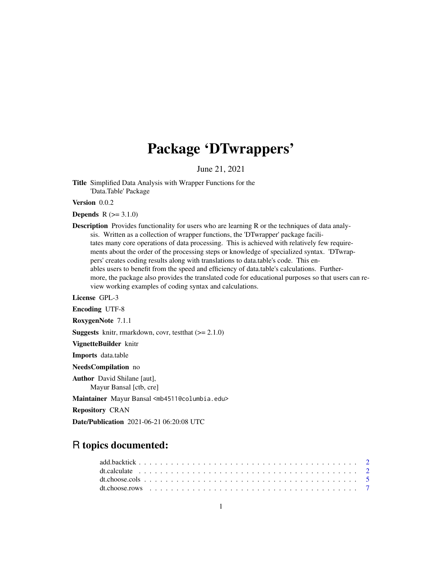# Package 'DTwrappers'

June 21, 2021

Title Simplified Data Analysis with Wrapper Functions for the 'Data.Table' Package

Version 0.0.2

**Depends**  $R (= 3.1.0)$ 

**Description** Provides functionality for users who are learning R or the techniques of data analysis. Written as a collection of wrapper functions, the 'DTwrapper' package facilitates many core operations of data processing. This is achieved with relatively few requirements about the order of the processing steps or knowledge of specialized syntax. 'DTwrappers' creates coding results along with translations to data.table's code. This enables users to benefit from the speed and efficiency of data.table's calculations. Furthermore, the package also provides the translated code for educational purposes so that users can review working examples of coding syntax and calculations.

License GPL-3

Encoding UTF-8

RoxygenNote 7.1.1

**Suggests** knitr, rmarkdown, covr, test that  $(>= 2.1.0)$ 

VignetteBuilder knitr

Imports data.table

NeedsCompilation no

Author David Shilane [aut],

Mayur Bansal [ctb, cre]

Maintainer Mayur Bansal <mb4511@columbia.edu>

Repository CRAN

Date/Publication 2021-06-21 06:20:08 UTC

# R topics documented: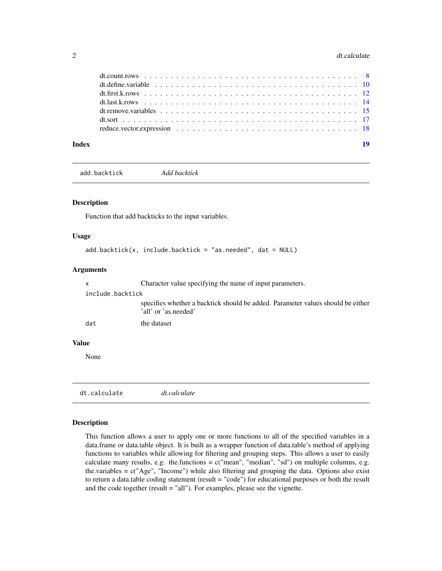#### <span id="page-1-0"></span>2 dt.calculate

| dt.define.variable $\ldots$ , $\ldots$ , $\ldots$ , $\ldots$ , $\ldots$ , $\ldots$ , $\ldots$ , $\ldots$ , $\ldots$ , $\ldots$ , $\ldots$ , $\ldots$ |  |
|------------------------------------------------------------------------------------------------------------------------------------------------------|--|
|                                                                                                                                                      |  |

add.backtick *Add backtick*

# Description

Function that add backticks to the input variables.

#### Usage

```
add.backtick(x, include.backtick = "as.needed", dat = NULL)
```
# Arguments

|              | X                | Character value specifying the name of input parameters.                                                |
|--------------|------------------|---------------------------------------------------------------------------------------------------------|
|              | include.backtick |                                                                                                         |
|              |                  | specifies whether a backtick should be added. Parameter values should be either<br>'all' or 'as.needed' |
|              | dat              | the dataset                                                                                             |
| <b>Value</b> |                  |                                                                                                         |
|              | None             |                                                                                                         |
|              |                  |                                                                                                         |

```
dt.calculate dt.calculate
```
#### Description

This function allows a user to apply one or more functions to all of the specified variables in a data.frame or data.table object. It is built as a wrapper function of data.table's method of applying functions to variables while allowing for filtering and grouping steps. This allows a user to easily calculate many results, e.g. the.functions =  $c("mean", "median", "sd")$  on multiple columns, e.g. the.variables =  $c("Age", "Income")$  while also filtering and grouping the data. Options also exist to return a data.table coding statement (result = "code") for educational purposes or both the result and the code together (result = "all"). For examples, please see the vignette.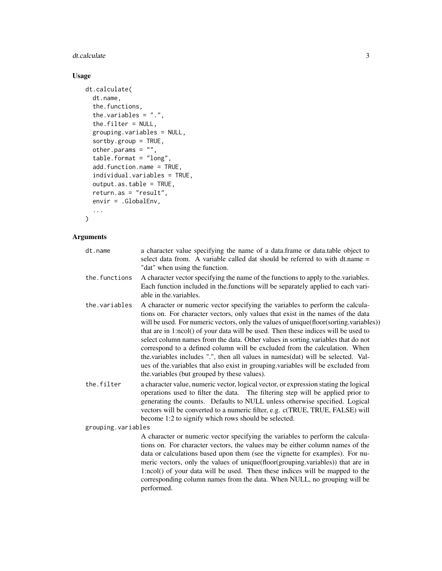# dt.calculate 3

# Usage

```
dt.calculate(
 dt.name,
  the.functions,
  the.variables = ".".the.filter = NULL,
  grouping.variables = NULL,
  sortby.group = TRUE,
  other.params = ",
  table.format = "long",
  add.function.name = TRUE,
  individual.variables = TRUE,
 output.as.table = TRUE,
  return.as = "result",
 envir = .GlobalEnv,
  ...
\mathcal{L}
```

| dt.name            | a character value specifying the name of a data.frame or data.table object to<br>select data from. A variable called dat should be referred to with dt.name =<br>"dat" when using the function.                                                                                                                                                                                                                                                                                                                                                                                                                                                                                                                                               |
|--------------------|-----------------------------------------------------------------------------------------------------------------------------------------------------------------------------------------------------------------------------------------------------------------------------------------------------------------------------------------------------------------------------------------------------------------------------------------------------------------------------------------------------------------------------------------------------------------------------------------------------------------------------------------------------------------------------------------------------------------------------------------------|
| the.functions      | A character vector specifying the name of the functions to apply to the variables.<br>Each function included in the functions will be separately applied to each vari-<br>able in the variables.                                                                                                                                                                                                                                                                                                                                                                                                                                                                                                                                              |
| the.variables      | A character or numeric vector specifying the variables to perform the calcula-<br>tions on. For character vectors, only values that exist in the names of the data<br>will be used. For numeric vectors, only the values of unique(floor(sorting.variables))<br>that are in 1:ncol() of your data will be used. Then these indices will be used to<br>select column names from the data. Other values in sorting variables that do not<br>correspond to a defined column will be excluded from the calculation. When<br>the variables includes ".", then all values in names (dat) will be selected. Val-<br>ues of the variables that also exist in grouping variables will be excluded from<br>the variables (but grouped by these values). |
| the.filter         | a character value, numeric vector, logical vector, or expression stating the logical<br>operations used to filter the data. The filtering step will be applied prior to<br>generating the counts. Defaults to NULL unless otherwise specified. Logical<br>vectors will be converted to a numeric filter, e.g. c(TRUE, TRUE, FALSE) will<br>become 1:2 to signify which rows should be selected.                                                                                                                                                                                                                                                                                                                                               |
| grouping.variables |                                                                                                                                                                                                                                                                                                                                                                                                                                                                                                                                                                                                                                                                                                                                               |
|                    | A character or numeric vector specifying the variables to perform the calcula-<br>tions on. For character vectors, the values may be either column names of the<br>data or calculations based upon them (see the vignette for examples). For nu-<br>meric vectors, only the values of unique(floor(grouping.variables)) that are in<br>1:ncol() of your data will be used. Then these indices will be mapped to the<br>corresponding column names from the data. When NULL, no grouping will be<br>performed.                                                                                                                                                                                                                                 |
|                    |                                                                                                                                                                                                                                                                                                                                                                                                                                                                                                                                                                                                                                                                                                                                               |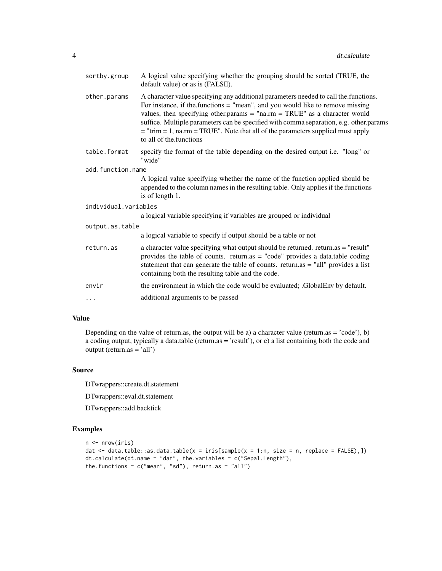| sortby.group         | A logical value specifying whether the grouping should be sorted (TRUE, the<br>default value) or as is (FALSE).                                                                                                                                                                                                                                                                                                                                                           |  |  |  |  |  |  |
|----------------------|---------------------------------------------------------------------------------------------------------------------------------------------------------------------------------------------------------------------------------------------------------------------------------------------------------------------------------------------------------------------------------------------------------------------------------------------------------------------------|--|--|--|--|--|--|
| other.params         | A character value specifying any additional parameters needed to call the functions.<br>For instance, if the functions $=$ "mean", and you would like to remove missing<br>values, then specifying other params = " $n a$ .rm = TRUE" as a character would<br>suffice. Multiple parameters can be specified with comma separation, e.g. other.params<br>$=$ "trim $= 1$ , na.rm $=$ TRUE". Note that all of the parameters supplied must apply<br>to all of the functions |  |  |  |  |  |  |
| table.format         | specify the format of the table depending on the desired output i.e. "long" or<br>"wide"                                                                                                                                                                                                                                                                                                                                                                                  |  |  |  |  |  |  |
| add.function.name    |                                                                                                                                                                                                                                                                                                                                                                                                                                                                           |  |  |  |  |  |  |
|                      | A logical value specifying whether the name of the function applied should be<br>appended to the column names in the resulting table. Only applies if the functions<br>is of length 1.                                                                                                                                                                                                                                                                                    |  |  |  |  |  |  |
| individual.variables |                                                                                                                                                                                                                                                                                                                                                                                                                                                                           |  |  |  |  |  |  |
|                      | a logical variable specifying if variables are grouped or individual                                                                                                                                                                                                                                                                                                                                                                                                      |  |  |  |  |  |  |
| output.as.table      |                                                                                                                                                                                                                                                                                                                                                                                                                                                                           |  |  |  |  |  |  |
|                      | a logical variable to specify if output should be a table or not                                                                                                                                                                                                                                                                                                                                                                                                          |  |  |  |  |  |  |
| return.as            | a character value specifying what output should be returned. return.as = "result"<br>provides the table of counts. return.as = "code" provides a data.table coding<br>statement that can generate the table of counts. return.as $=$ "all" provides a list<br>containing both the resulting table and the code.                                                                                                                                                           |  |  |  |  |  |  |
| envir                | the environment in which the code would be evaluated; GlobalEnv by default.                                                                                                                                                                                                                                                                                                                                                                                               |  |  |  |  |  |  |
| $\cdots$             | additional arguments to be passed                                                                                                                                                                                                                                                                                                                                                                                                                                         |  |  |  |  |  |  |
|                      |                                                                                                                                                                                                                                                                                                                                                                                                                                                                           |  |  |  |  |  |  |

Depending on the value of return.as, the output will be a) a character value (return.as = 'code'), b) a coding output, typically a data.table (return.as = 'result'), or c) a list containing both the code and output (return.as = 'all')

# Source

DTwrappers::create.dt.statement

DTwrappers::eval.dt.statement

DTwrappers::add.backtick

# Examples

```
n <- nrow(iris)
dat <- data.table::as.data.table(x = iris[sample(x = 1:n, size = n, replace = FALSE),])
dt.calculate(dt.name = "dat", the.variables = c("Sepal.Length"),
the.functions = c("mean", "sd"), return.as = "all")
```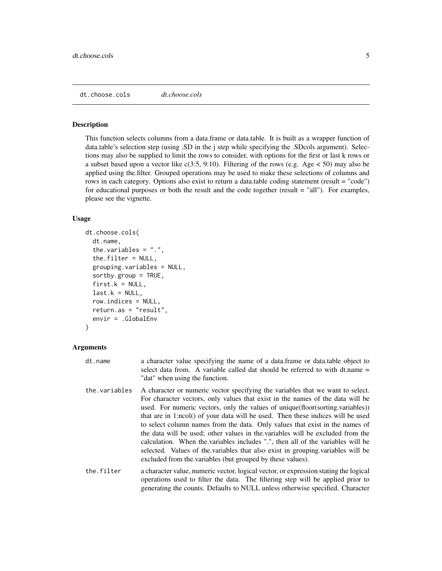<span id="page-4-0"></span>dt.choose.cols *dt.choose.cols*

#### Description

This function selects columns from a data.frame or data.table. It is built as a wrapper function of data.table's selection step (using .SD in the j step while specifying the .SDcols argument). Selections may also be supplied to limit the rows to consider, with options for the first or last k rows or a subset based upon a vector like  $c(3.5, 9.10)$ . Filtering of the rows (e.g. Age  $< 50$ ) may also be applied using the.filter. Grouped operations may be used to make these selections of columns and rows in each category. Options also exist to return a data.table coding statement (result = "code") for educational purposes or both the result and the code together (result = "all"). For examples, please see the vignette.

#### Usage

```
dt.choose.cols(
  dt.name,
  the.variables = ".",
  the.filter = NULL,
  grouping.variables = NULL,
  sortby.group = TRUE,first.k = NULL,last.k = NULL,row.indices = NULL,
  return.as = "result",
  envir = .GlobalEnv
)
```

| dt.name | a character value specifying the name of a data.frame or data.table object to |
|---------|-------------------------------------------------------------------------------|
|         | select data from. A variable called dat should be referred to with dt.name =  |
|         | "dat" when using the function.                                                |

- the.variables A character or numeric vector specifying the variables that we want to select. For character vectors, only values that exist in the names of the data will be used. For numeric vectors, only the values of unique(floor(sorting.variables)) that are in 1:ncol() of your data will be used. Then these indices will be used to select column names from the data. Only values that exist in the names of the data will be used; other values in the.variables will be excluded from the calculation. When the.variables includes ".", then all of the variables will be selected. Values of the.variables that also exist in grouping.variables will be excluded from the.variables (but grouped by these values).
- the.filter a character value, numeric vector, logical vector, or expression stating the logical operations used to filter the data. The filtering step will be applied prior to generating the counts. Defaults to NULL unless otherwise specified. Character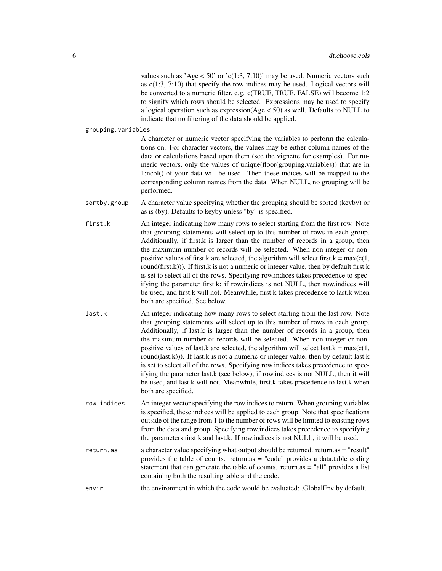values such as 'Age  $\lt 50$ ' or 'c(1:3, 7:10)' may be used. Numeric vectors such as  $c(1:3, 7:10)$  that specify the row indices may be used. Logical vectors will be converted to a numeric filter, e.g. c(TRUE, TRUE, FALSE) will become 1:2 to signify which rows should be selected. Expressions may be used to specify a logical operation such as expression(Age < 50) as well. Defaults to NULL to indicate that no filtering of the data should be applied.

grouping.variables

A character or numeric vector specifying the variables to perform the calculations on. For character vectors, the values may be either column names of the data or calculations based upon them (see the vignette for examples). For numeric vectors, only the values of unique(floor(grouping.variables)) that are in 1:ncol() of your data will be used. Then these indices will be mapped to the corresponding column names from the data. When NULL, no grouping will be performed.

- sortby.group A character value specifying whether the grouping should be sorted (keyby) or as is (by). Defaults to keyby unless "by" is specified.
- first.k An integer indicating how many rows to select starting from the first row. Note that grouping statements will select up to this number of rows in each group. Additionally, if first.k is larger than the number of records in a group, then the maximum number of records will be selected. When non-integer or nonpositive values of first.k are selected, the algorithm will select first.k =  $max(c(1,$ round(first.k))). If first.k is not a numeric or integer value, then by default first.k is set to select all of the rows. Specifying row.indices takes precedence to specifying the parameter first.k; if row.indices is not NULL, then row.indices will be used, and first.k will not. Meanwhile, first.k takes precedence to last.k when both are specified. See below.
- last.k An integer indicating how many rows to select starting from the last row. Note that grouping statements will select up to this number of rows in each group. Additionally, if last.k is larger than the number of records in a group, then the maximum number of records will be selected. When non-integer or nonpositive values of last.k are selected, the algorithm will select last.k =  $max(c(1,$ round(last.k))). If last.k is not a numeric or integer value, then by default last.k is set to select all of the rows. Specifying row.indices takes precedence to specifying the parameter last.k (see below); if row.indices is not NULL, then it will be used, and last.k will not. Meanwhile, first.k takes precedence to last.k when both are specified.
- row.indices An integer vector specifying the row indices to return. When grouping.variables is specified, these indices will be applied to each group. Note that specifications outside of the range from 1 to the number of rows will be limited to existing rows from the data and group. Specifying row.indices takes precedence to specifying the parameters first.k and last.k. If row.indices is not NULL, it will be used.
- return.as a character value specifying what output should be returned. return.as = "result" provides the table of counts. return.as  $=$  "code" provides a data.table coding statement that can generate the table of counts. return.as = "all" provides a list containing both the resulting table and the code.
- envir the environment in which the code would be evaluated; .GlobalEnv by default.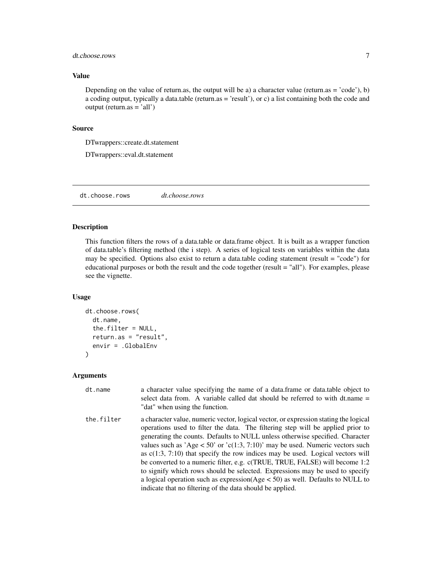# <span id="page-6-0"></span>dt.choose.rows 7

#### Value

Depending on the value of return.as, the output will be a) a character value (return.as = 'code'), b) a coding output, typically a data.table (return.as = 'result'), or c) a list containing both the code and output (return.as = 'all')

#### Source

DTwrappers::create.dt.statement

DTwrappers::eval.dt.statement

dt.choose.rows *dt.choose.rows*

# Description

This function filters the rows of a data.table or data.frame object. It is built as a wrapper function of data.table's filtering method (the i step). A series of logical tests on variables within the data may be specified. Options also exist to return a data.table coding statement (result = "code") for educational purposes or both the result and the code together (result = "all"). For examples, please see the vignette.

# Usage

```
dt.choose.rows(
  dt.name,
  the.filter = NULL,
  return.as = "result",
  envir = .GlobalEnv
)
```

| dt.name    | a character value specifying the name of a data. frame or data table object to<br>select data from. A variable called dat should be referred to with dt.name =<br>"dat" when using the function.                                                                                                                                                                                                                                                                                                                                                                                                                                                                                                                                                 |
|------------|--------------------------------------------------------------------------------------------------------------------------------------------------------------------------------------------------------------------------------------------------------------------------------------------------------------------------------------------------------------------------------------------------------------------------------------------------------------------------------------------------------------------------------------------------------------------------------------------------------------------------------------------------------------------------------------------------------------------------------------------------|
| the.filter | a character value, numeric vector, logical vector, or expression stating the logical<br>operations used to filter the data. The filtering step will be applied prior to<br>generating the counts. Defaults to NULL unless otherwise specified. Character<br>values such as 'Age $<$ 50' or 'c(1:3, 7:10)' may be used. Numeric vectors such<br>as $c(1:3, 7:10)$ that specify the row indices may be used. Logical vectors will<br>be converted to a numeric filter, e.g. c(TRUE, TRUE, FALSE) will become 1:2<br>to signify which rows should be selected. Expressions may be used to specify<br>a logical operation such as expression( $Age < 50$ ) as well. Defaults to NULL to<br>indicate that no filtering of the data should be applied. |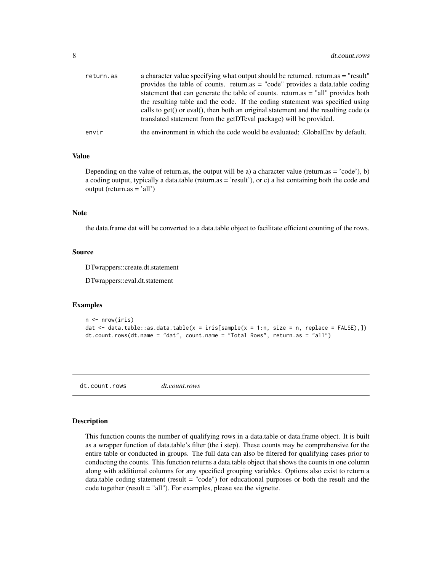<span id="page-7-0"></span>

| return.as | a character value specifying what output should be returned. return as = "result"<br>provides the table of counts. return.as $=$ "code" provides a data.table coding<br>statement that can generate the table of counts. return.as $=$ "all" provides both<br>the resulting table and the code. If the coding statement was specified using<br>calls to get() or eval(), then both an original statement and the resulting code (a<br>translated statement from the getDTeval package) will be provided. |
|-----------|----------------------------------------------------------------------------------------------------------------------------------------------------------------------------------------------------------------------------------------------------------------------------------------------------------------------------------------------------------------------------------------------------------------------------------------------------------------------------------------------------------|
| envir     | the environment in which the code would be evaluated; GlobalEnv by default.                                                                                                                                                                                                                                                                                                                                                                                                                              |

Depending on the value of return.as, the output will be a) a character value (return.as = 'code'), b) a coding output, typically a data.table (return.as = 'result'), or c) a list containing both the code and output (return.as = 'all')

#### **Note**

the data.frame dat will be converted to a data.table object to facilitate efficient counting of the rows.

#### Source

DTwrappers::create.dt.statement

DTwrappers::eval.dt.statement

# Examples

```
n \leftarrow \text{nrow}(iris)dat \le data.table::as.data.table(x = iris[sample(x = 1:n, size = n, replace = FALSE),])
dt.count.rows(dt.name = "dat", count.name = "Total Rows", return.as = "all")
```
dt.count.rows *dt.count.rows*

#### **Description**

This function counts the number of qualifying rows in a data.table or data.frame object. It is built as a wrapper function of data.table's filter (the i step). These counts may be comprehensive for the entire table or conducted in groups. The full data can also be filtered for qualifying cases prior to conducting the counts. This function returns a data.table object that shows the counts in one column along with additional columns for any specified grouping variables. Options also exist to return a data.table coding statement (result = "code") for educational purposes or both the result and the code together (result = "all"). For examples, please see the vignette.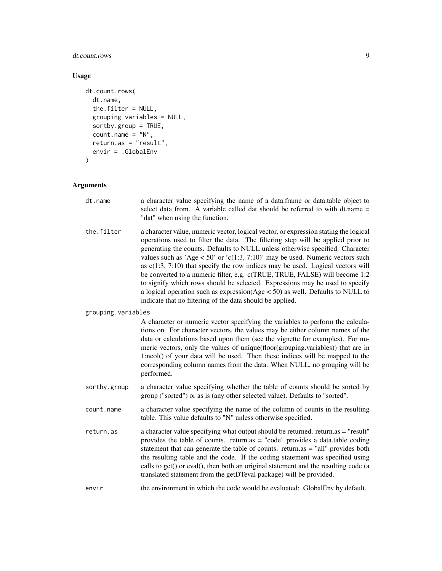# dt.count.rows 9

# Usage

```
dt.count.rows(
 dt.name,
  the.filter = NULL,
 grouping.variables = NULL,
  sortby.group = TRUE,
 count.name = "N",return.as = "result",
 envir = .GlobalEnv
)
```

| dt.name            | a character value specifying the name of a data.frame or data.table object to<br>select data from. A variable called dat should be referred to with dt.name =<br>"dat" when using the function.                                                                                                                                                                                                                                                                                                                                                                                                                                                                                                                                                |
|--------------------|------------------------------------------------------------------------------------------------------------------------------------------------------------------------------------------------------------------------------------------------------------------------------------------------------------------------------------------------------------------------------------------------------------------------------------------------------------------------------------------------------------------------------------------------------------------------------------------------------------------------------------------------------------------------------------------------------------------------------------------------|
| the.filter         | a character value, numeric vector, logical vector, or expression stating the logical<br>operations used to filter the data. The filtering step will be applied prior to<br>generating the counts. Defaults to NULL unless otherwise specified. Character<br>values such as 'Age $<$ 50' or 'c(1:3, 7:10)' may be used. Numeric vectors such<br>as $c(1:3, 7:10)$ that specify the row indices may be used. Logical vectors will<br>be converted to a numeric filter, e.g. c(TRUE, TRUE, FALSE) will become 1:2<br>to signify which rows should be selected. Expressions may be used to specify<br>a logical operation such as $expression(Age < 50)$ as well. Defaults to NULL to<br>indicate that no filtering of the data should be applied. |
| grouping.variables |                                                                                                                                                                                                                                                                                                                                                                                                                                                                                                                                                                                                                                                                                                                                                |
|                    | A character or numeric vector specifying the variables to perform the calcula-<br>tions on. For character vectors, the values may be either column names of the<br>data or calculations based upon them (see the vignette for examples). For nu-<br>meric vectors, only the values of unique(floor(grouping.variables)) that are in<br>1:ncol() of your data will be used. Then these indices will be mapped to the<br>corresponding column names from the data. When NULL, no grouping will be<br>performed.                                                                                                                                                                                                                                  |
| sortby.group       | a character value specifying whether the table of counts should be sorted by<br>group ("sorted") or as is (any other selected value). Defaults to "sorted".                                                                                                                                                                                                                                                                                                                                                                                                                                                                                                                                                                                    |
| count.name         | a character value specifying the name of the column of counts in the resulting<br>table. This value defaults to "N" unless otherwise specified.                                                                                                                                                                                                                                                                                                                                                                                                                                                                                                                                                                                                |
| return.as          | a character value specifying what output should be returned. return.as = "result"<br>provides the table of counts. return.as = "code" provides a data.table coding<br>statement that can generate the table of counts. return.as = "all" provides both<br>the resulting table and the code. If the coding statement was specified using<br>calls to get() or eval(), then both an original.statement and the resulting code (a<br>translated statement from the getDTeval package) will be provided.                                                                                                                                                                                                                                           |
| envir              | the environment in which the code would be evaluated; .GlobalEnv by default.                                                                                                                                                                                                                                                                                                                                                                                                                                                                                                                                                                                                                                                                   |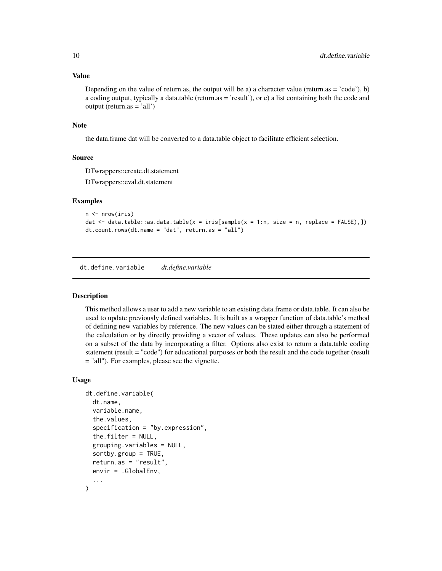Depending on the value of return.as, the output will be a) a character value (return.as = 'code'), b) a coding output, typically a data.table (return.as = 'result'), or c) a list containing both the code and output (return.as = 'all')

#### Note

the data.frame dat will be converted to a data.table object to facilitate efficient selection.

#### Source

DTwrappers::create.dt.statement

DTwrappers::eval.dt.statement

# Examples

```
n <- nrow(iris)
dat \leq data.table::as.data.table(x = iris[sample(x = 1:n, size = n, replace = FALSE),])
dt.count.rows(dt.name = "dat", return.as = "all")
```
dt.define.variable *dt.define.variable*

#### Description

This method allows a user to add a new variable to an existing data.frame or data.table. It can also be used to update previously defined variables. It is built as a wrapper function of data.table's method of defining new variables by reference. The new values can be stated either through a statement of the calculation or by directly providing a vector of values. These updates can also be performed on a subset of the data by incorporating a filter. Options also exist to return a data.table coding statement (result = "code") for educational purposes or both the result and the code together (result = "all"). For examples, please see the vignette.

#### Usage

```
dt.define.variable(
  dt.name,
  variable.name,
  the.values,
  specification = "by.expression",
  the.filter = NULL,
  grouping.variables = NULL,
  sortby.group = TRUE,
  return.as = "result",
  envir = .GlobalEnv,
  ...
)
```
<span id="page-9-0"></span>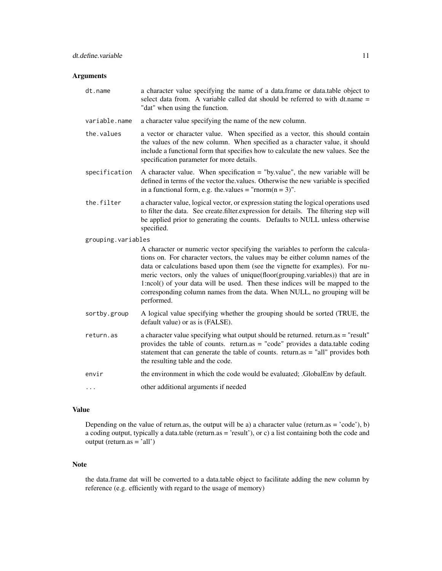# Arguments

| dt.name            | a character value specifying the name of a data.frame or data.table object to<br>select data from. A variable called dat should be referred to with dt.name =<br>"dat" when using the function.                                                                                                                                                                                                                                                                                                               |
|--------------------|---------------------------------------------------------------------------------------------------------------------------------------------------------------------------------------------------------------------------------------------------------------------------------------------------------------------------------------------------------------------------------------------------------------------------------------------------------------------------------------------------------------|
| variable.name      | a character value specifying the name of the new column.                                                                                                                                                                                                                                                                                                                                                                                                                                                      |
| the.values         | a vector or character value. When specified as a vector, this should contain<br>the values of the new column. When specified as a character value, it should<br>include a functional form that specifies how to calculate the new values. See the<br>specification parameter for more details.                                                                                                                                                                                                                |
| specification      | A character value. When specification $=$ "by value", the new variable will be<br>defined in terms of the vector the values. Otherwise the new variable is specified<br>in a functional form, e.g. the values = "rnorm( $n = 3$ )".                                                                                                                                                                                                                                                                           |
| the.filter         | a character value, logical vector, or expression stating the logical operations used<br>to filter the data. See create filter expression for details. The filtering step will<br>be applied prior to generating the counts. Defaults to NULL unless otherwise<br>specified.                                                                                                                                                                                                                                   |
| grouping.variables |                                                                                                                                                                                                                                                                                                                                                                                                                                                                                                               |
|                    | A character or numeric vector specifying the variables to perform the calcula-<br>tions on. For character vectors, the values may be either column names of the<br>data or calculations based upon them (see the vignette for examples). For nu-<br>meric vectors, only the values of unique(floor(grouping.variables)) that are in<br>1:ncol() of your data will be used. Then these indices will be mapped to the<br>corresponding column names from the data. When NULL, no grouping will be<br>performed. |
| sortby.group       | A logical value specifying whether the grouping should be sorted (TRUE, the<br>default value) or as is (FALSE).                                                                                                                                                                                                                                                                                                                                                                                               |
| return.as          | a character value specifying what output should be returned. return.as = "result"<br>provides the table of counts. return.as = "code" provides a data.table coding<br>statement that can generate the table of counts. return.as = "all" provides both<br>the resulting table and the code.                                                                                                                                                                                                                   |
| envir              | the environment in which the code would be evaluated; .GlobalEnv by default.                                                                                                                                                                                                                                                                                                                                                                                                                                  |
| .                  | other additional arguments if needed                                                                                                                                                                                                                                                                                                                                                                                                                                                                          |
|                    |                                                                                                                                                                                                                                                                                                                                                                                                                                                                                                               |

# Value

Depending on the value of return.as, the output will be a) a character value (return.as = 'code'), b) a coding output, typically a data.table (return.as = 'result'), or c) a list containing both the code and output (return.as = 'all')

# Note

the data.frame dat will be converted to a data.table object to facilitate adding the new column by reference (e.g. efficiently with regard to the usage of memory)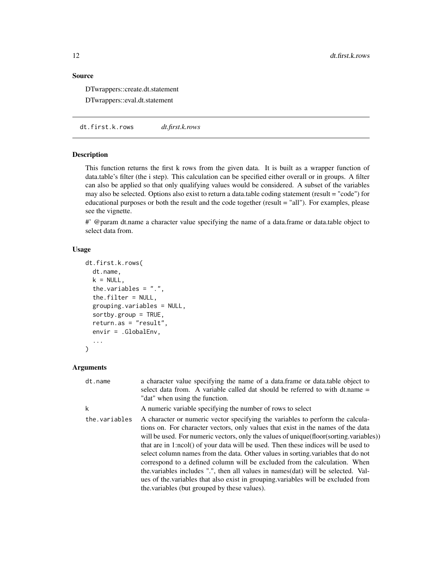# <span id="page-11-0"></span>Source

DTwrappers::create.dt.statement

DTwrappers::eval.dt.statement

dt.first.k.rows *dt.first.k.rows*

# Description

This function returns the first k rows from the given data. It is built as a wrapper function of data.table's filter (the i step). This calculation can be specified either overall or in groups. A filter can also be applied so that only qualifying values would be considered. A subset of the variables may also be selected. Options also exist to return a data.table coding statement (result = "code") for educational purposes or both the result and the code together (result = "all"). For examples, please see the vignette.

#' @param dt.name a character value specifying the name of a data.frame or data.table object to select data from.

# Usage

```
dt.first.k.rows(
  dt.name,
  k = NULL,the.variables = ".".the.filter = NULL,
  grouping.variables = NULL,
  sortby.group = TRUE,
  return.as = "result",
  envir = .GlobalEnv,
  ...
)
```

| dt.name       | a character value specifying the name of a data.frame or data.table object to<br>select data from. A variable called dat should be referred to with dt.name =<br>"dat" when using the function.                                                                                                                                                                                                                                                                                                                                                                                                                                                                                                                                                 |
|---------------|-------------------------------------------------------------------------------------------------------------------------------------------------------------------------------------------------------------------------------------------------------------------------------------------------------------------------------------------------------------------------------------------------------------------------------------------------------------------------------------------------------------------------------------------------------------------------------------------------------------------------------------------------------------------------------------------------------------------------------------------------|
| k             | A numeric variable specifying the number of rows to select                                                                                                                                                                                                                                                                                                                                                                                                                                                                                                                                                                                                                                                                                      |
| the.variables | A character or numeric vector specifying the variables to perform the calcula-<br>tions on. For character vectors, only values that exist in the names of the data<br>will be used. For numeric vectors, only the values of unique (floor (sorting variables))<br>that are in 1:ncol() of your data will be used. Then these indices will be used to<br>select column names from the data. Other values in sorting variables that do not<br>correspond to a defined column will be excluded from the calculation. When<br>the variables includes ".", then all values in names (dat) will be selected. Val-<br>ues of the variables that also exist in grouping variables will be excluded from<br>the variables (but grouped by these values). |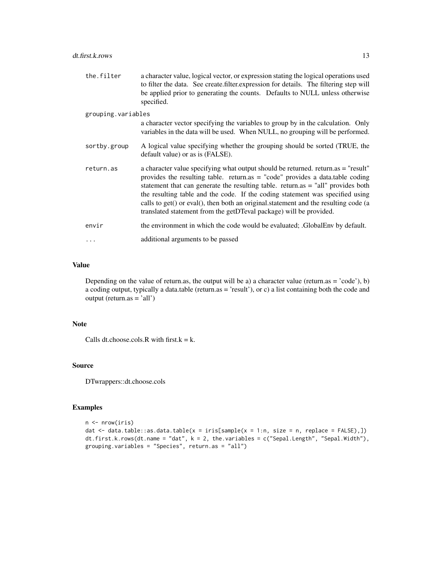the.filter a character value, logical vector, or expression stating the logical operations used to filter the data. See create.filter.expression for details. The filtering step will be applied prior to generating the counts. Defaults to NULL unless otherwise specified.

#### grouping.variables

| a character vector specifying the variables to group by in the calculation. Only |  |  |
|----------------------------------------------------------------------------------|--|--|
| variables in the data will be used. When NULL, no grouping will be performed.    |  |  |
|                                                                                  |  |  |

- sortby.group A logical value specifying whether the grouping should be sorted (TRUE, the default value) or as is (FALSE).
- return.as a character value specifying what output should be returned. return.as = "result" provides the resulting table. return.as = "code" provides a data.table coding statement that can generate the resulting table. return.as = "all" provides both the resulting table and the code. If the coding statement was specified using calls to get() or eval(), then both an original.statement and the resulting code (a translated statement from the getDTeval package) will be provided.
- envir the environment in which the code would be evaluated; .GlobalEnv by default.
- ... additional arguments to be passed

# Value

Depending on the value of return.as, the output will be a) a character value (return.as = 'code'), b) a coding output, typically a data.table (return.as = 'result'), or c) a list containing both the code and  $output (return as = 'all')$ 

#### Note

Calls dt.choose.cols.R with first. $k = k$ .

# Source

DTwrappers::dt.choose.cols

#### Examples

```
n <- nrow(iris)
dat \le data.table::as.data.table(x = iris[sample(x = 1:n, size = n, replace = FALSE),])
dt.first.k.rows(dt.name = "dat", k = 2, the.variables = c("Sepal.Length", "Sepal.Width"),
grouping.variables = "Species", return.as = "all")
```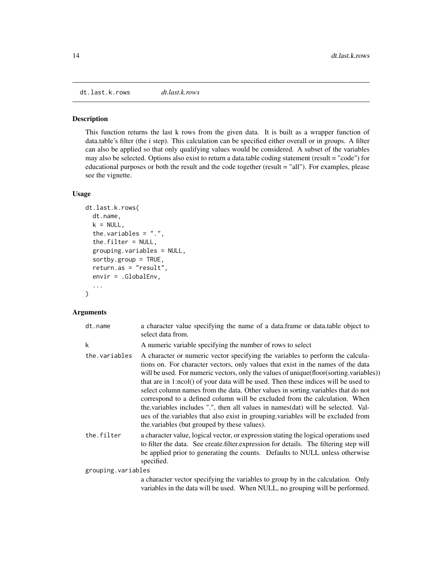<span id="page-13-0"></span>dt.last.k.rows *dt.last.k.rows*

### Description

This function returns the last k rows from the given data. It is built as a wrapper function of data.table's filter (the i step). This calculation can be specified either overall or in groups. A filter can also be applied so that only qualifying values would be considered. A subset of the variables may also be selected. Options also exist to return a data.table coding statement (result = "code") for educational purposes or both the result and the code together (result = "all"). For examples, please see the vignette.

# Usage

```
dt.last.k.rows(
  dt.name,
  k = NULL,the.variables = ".".the.filter = NULL,
  grouping.variables = NULL,
  sortby.group = TRUE,
  return.as = "result",
  envir = .GlobalEnv,
  ...
\mathcal{L}
```

| dt.name            | a character value specifying the name of a data.frame or data.table object to<br>select data from.                                                                                                                                                                                                                                                                                                                                                                                                                                                                                                                                                                                                                                            |
|--------------------|-----------------------------------------------------------------------------------------------------------------------------------------------------------------------------------------------------------------------------------------------------------------------------------------------------------------------------------------------------------------------------------------------------------------------------------------------------------------------------------------------------------------------------------------------------------------------------------------------------------------------------------------------------------------------------------------------------------------------------------------------|
| k                  | A numeric variable specifying the number of rows to select                                                                                                                                                                                                                                                                                                                                                                                                                                                                                                                                                                                                                                                                                    |
| the.variables      | A character or numeric vector specifying the variables to perform the calcula-<br>tions on. For character vectors, only values that exist in the names of the data<br>will be used. For numeric vectors, only the values of unique(floor(sorting.variables))<br>that are in 1:ncol() of your data will be used. Then these indices will be used to<br>select column names from the data. Other values in sorting variables that do not<br>correspond to a defined column will be excluded from the calculation. When<br>the variables includes ".", then all values in names (dat) will be selected. Val-<br>ues of the variables that also exist in grouping variables will be excluded from<br>the variables (but grouped by these values). |
| the.filter         | a character value, logical vector, or expression stating the logical operations used<br>to filter the data. See create filter expression for details. The filtering step will<br>be applied prior to generating the counts. Defaults to NULL unless otherwise<br>specified.                                                                                                                                                                                                                                                                                                                                                                                                                                                                   |
| grouping.variables |                                                                                                                                                                                                                                                                                                                                                                                                                                                                                                                                                                                                                                                                                                                                               |
|                    | a character vector specifying the variables to group by in the calculation. Only<br>variables in the data will be used. When NULL, no grouping will be performed.                                                                                                                                                                                                                                                                                                                                                                                                                                                                                                                                                                             |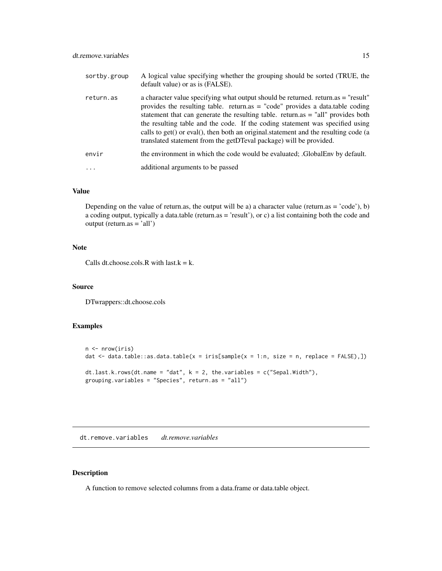<span id="page-14-0"></span>

| sortby.group | A logical value specifying whether the grouping should be sorted (TRUE, the<br>default value) or as is (FALSE).                                                                                                                                                                                                                                                                                                                                                                                          |
|--------------|----------------------------------------------------------------------------------------------------------------------------------------------------------------------------------------------------------------------------------------------------------------------------------------------------------------------------------------------------------------------------------------------------------------------------------------------------------------------------------------------------------|
| return.as    | a character value specifying what output should be returned. return.as = "result"<br>provides the resulting table. return.as $=$ "code" provides a data.table coding<br>statement that can generate the resulting table. return.as $=$ "all" provides both<br>the resulting table and the code. If the coding statement was specified using<br>calls to get() or eval(), then both an original statement and the resulting code (a<br>translated statement from the getDTeval package) will be provided. |
| envir        | the environment in which the code would be evaluated; GlobalEnv by default.                                                                                                                                                                                                                                                                                                                                                                                                                              |
| $\cdots$     | additional arguments to be passed                                                                                                                                                                                                                                                                                                                                                                                                                                                                        |

Depending on the value of return.as, the output will be a) a character value (return.as = 'code'), b) a coding output, typically a data.table (return.as = 'result'), or c) a list containing both the code and output (return.as = 'all')

# Note

Calls dt.choose.cols.R with last. $k = k$ .

#### Source

DTwrappers::dt.choose.cols

# Examples

```
n <- nrow(iris)
dat \leq data.table::as.data.table(x = iris[sample(x = 1:n, size = n, replace = FALSE),])
dt.last.k.rows(dt.name = "dat", k = 2, the.variables = c("Send.Midth"),
grouping.variables = "Species", return.as = "all")
```
dt.remove.variables *dt.remove.variables*

# Description

A function to remove selected columns from a data.frame or data.table object.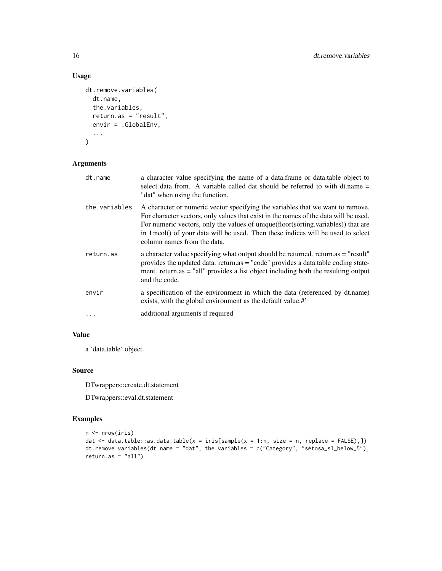# Usage

```
dt.remove.variables(
  dt.name,
  the.variables,
  return.as = "result",
  envir = .GlobalEnv,
  ...
\mathcal{L}
```
# Arguments

| dt.name       | a character value specifying the name of a data. frame or data table object to<br>select data from. A variable called dat should be referred to with dt.name =<br>"dat" when using the function.                                                                                                                                                                                 |
|---------------|----------------------------------------------------------------------------------------------------------------------------------------------------------------------------------------------------------------------------------------------------------------------------------------------------------------------------------------------------------------------------------|
| the.variables | A character or numeric vector specifying the variables that we want to remove.<br>For character vectors, only values that exist in the names of the data will be used.<br>For numeric vectors, only the values of unique (floor (sorting variables)) that are<br>in 1:ncol() of your data will be used. Then these indices will be used to select<br>column names from the data. |
| return.as     | a character value specifying what output should be returned. return.as = "result"<br>provides the updated data. return.as = "code" provides a data.table coding state-<br>ment. return as = "all" provides a list object including both the resulting output<br>and the code.                                                                                                    |
| envir         | a specification of the environment in which the data (referenced by dt.name)<br>exists, with the global environment as the default value.#'                                                                                                                                                                                                                                      |
| $\ddots$      | additional arguments if required                                                                                                                                                                                                                                                                                                                                                 |

# Value

a 'data.table' object.

# Source

DTwrappers::create.dt.statement

DTwrappers::eval.dt.statement

# Examples

```
n <- nrow(iris)
dat \leq data.table::as.data.table(x = iris[sample(x = 1:n, size = n, replace = FALSE),])
dt.remove.variables(dt.name = "dat", the.variables = c("Category", "setosa_sl_below_5"),
return as = "all")
```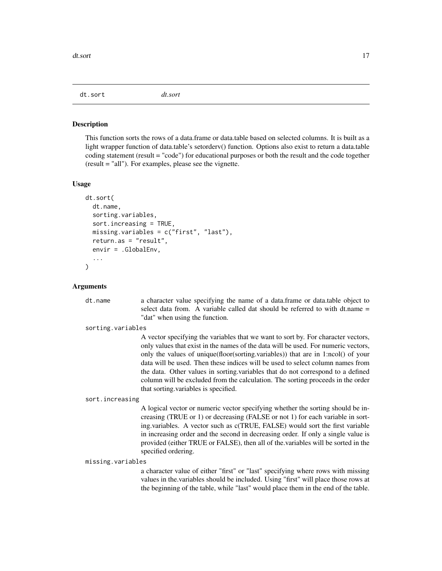<span id="page-16-0"></span>dt.sort *dt.sort*

#### **Description**

This function sorts the rows of a data.frame or data.table based on selected columns. It is built as a light wrapper function of data.table's setorderv() function. Options also exist to return a data.table coding statement (result = "code") for educational purposes or both the result and the code together (result = "all"). For examples, please see the vignette.

#### Usage

```
dt.sort(
  dt.name,
  sorting.variables,
  sort.increasing = TRUE,
  missing.variables = c("first", "last"),
  return.as = "result",
  envir = .GlobalEnv,
  ...
\mathcal{L}
```
#### Arguments

dt.name a character value specifying the name of a data.frame or data.table object to select data from. A variable called dat should be referred to with dt.name = "dat" when using the function.

#### sorting.variables

A vector specifying the variables that we want to sort by. For character vectors, only values that exist in the names of the data will be used. For numeric vectors, only the values of unique(floor(sorting.variables)) that are in 1:ncol() of your data will be used. Then these indices will be used to select column names from the data. Other values in sorting.variables that do not correspond to a defined column will be excluded from the calculation. The sorting proceeds in the order that sorting.variables is specified.

#### sort.increasing

A logical vector or numeric vector specifying whether the sorting should be increasing (TRUE or 1) or decreasing (FALSE or not 1) for each variable in sorting.variables. A vector such as c(TRUE, FALSE) would sort the first variable in increasing order and the second in decreasing order. If only a single value is provided (either TRUE or FALSE), then all of the.variables will be sorted in the specified ordering.

missing.variables

a character value of either "first" or "last" specifying where rows with missing values in the.variables should be included. Using "first" will place those rows at the beginning of the table, while "last" would place them in the end of the table.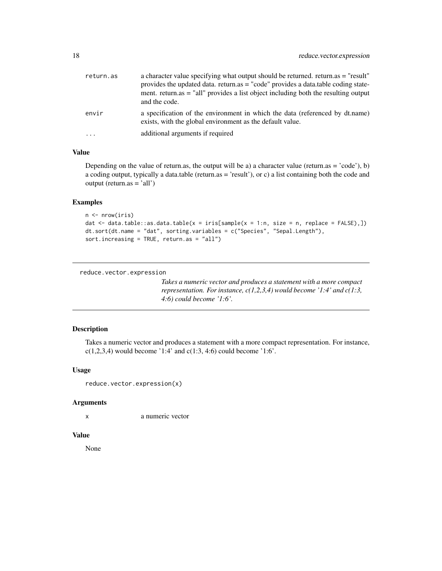<span id="page-17-0"></span>

| return.as  | a character value specifying what output should be returned. return.as = "result"<br>provides the updated data. return.as = "code" provides a data.table coding state-<br>ment. return.as $=$ "all" provides a list object including both the resulting output<br>and the code. |
|------------|---------------------------------------------------------------------------------------------------------------------------------------------------------------------------------------------------------------------------------------------------------------------------------|
| envir      | a specification of the environment in which the data (referenced by dt.name)<br>exists, with the global environment as the default value.                                                                                                                                       |
| $\ddots$ . | additional arguments if required                                                                                                                                                                                                                                                |

Depending on the value of return.as, the output will be a) a character value (return.as = 'code'), b) a coding output, typically a data.table (return.as = 'result'), or c) a list containing both the code and output (return.as = 'all')

# Examples

```
n <- nrow(iris)
dat \leq data.table::as.data.table(x = iris[sample(x = 1:n, size = n, replace = FALSE),])
dt.sort(dt.name = "dat", sorting.variables = c("Species", "Sepal.Length"),
sort.increasing = TRUE, return.as = "all")
```

```
reduce.vector.expression
```
*Takes a numeric vector and produces a statement with a more compact representation. For instance, c(1,2,3,4) would become '1:4' and c(1:3, 4:6) could become '1:6'.*

# Description

Takes a numeric vector and produces a statement with a more compact representation. For instance,  $c(1,2,3,4)$  would become '1:4' and  $c(1:3, 4:6)$  could become '1:6'.

# Usage

```
reduce.vector.expression(x)
```
#### Arguments

x a numeric vector

# Value

None